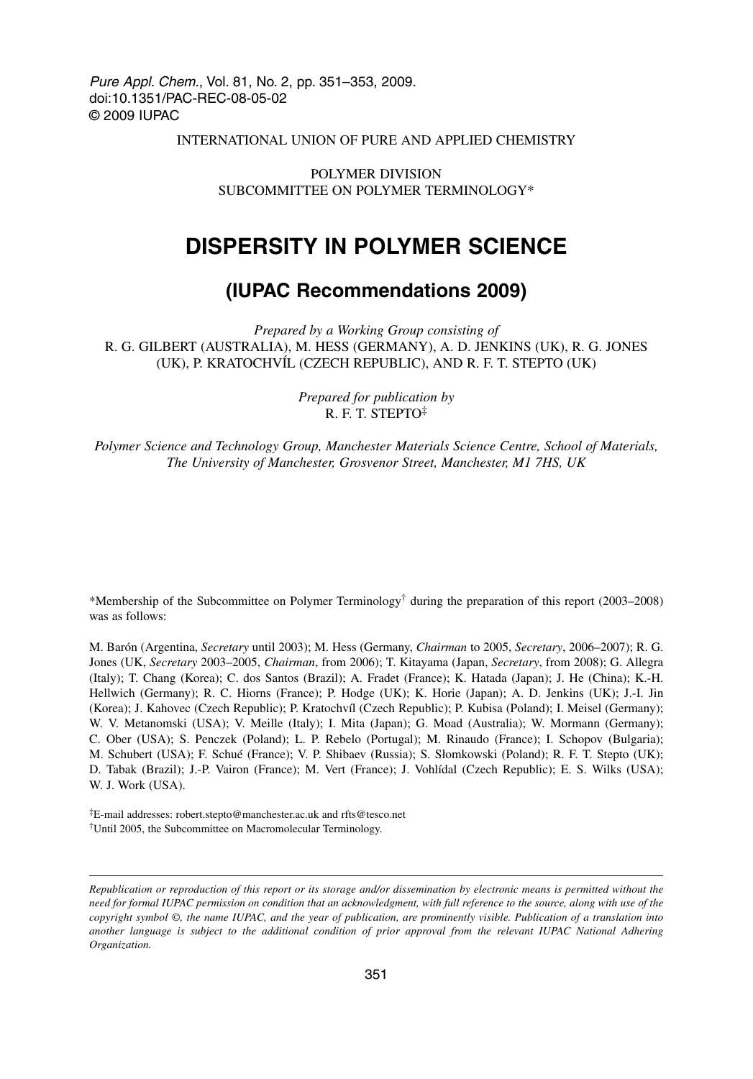Pure Appl. Chem., Vol. 81, No. 2, pp. 351–353, 2009. doi:10.1351/PAC-REC-08-05-02 © 2009 IUPAC

INTERNATIONAL UNION OF PURE AND APPLIED CHEMISTRY

POLYMER DIVISION SUBCOMMITTEE ON POLYMER TERMINOLOGY\*

## **DISPERSITY IN POLYMER SCIENCE**

### **(IUPAC Recommendations 2009)**

*Prepared by a Working Group consisting of* R. G. GILBERT (AUSTRALIA), M. HESS (GERMANY), A. D. JENKINS (UK), R. G. JONES (UK), P. KRATOCHVÍL (CZECH REPUBLIC), AND R. F. T. STEPTO (UK)

> *Prepared for publication by* R. F. T. STEPTO‡

*Polymer Science and Technology Group, Manchester Materials Science Centre, School of Materials, The University of Manchester, Grosvenor Street, Manchester, M1 7HS, UK*

\*Membership of the Subcommittee on Polymer Terminology<sup>†</sup> during the preparation of this report (2003–2008) was as follows:

M. Barón (Argentina, *Secretary* until 2003); M. Hess (Germany, *Chairman* to 2005, *Secretary*, 2006–2007); R. G. Jones (UK, *Secretary* 2003–2005, *Chairman*, from 2006); T. Kitayama (Japan, *Secretary*, from 2008); G. Allegra (Italy); T. Chang (Korea); C. dos Santos (Brazil); A. Fradet (France); K. Hatada (Japan); J. He (China); K.-H. Hellwich (Germany); R. C. Hiorns (France); P. Hodge (UK); K. Horie (Japan); A. D. Jenkins (UK); J.-I. Jin (Korea); J. Kahovec (Czech Republic); P. Kratochvíl (Czech Republic); P. Kubisa (Poland); I. Meisel (Germany); W. V. Metanomski (USA); V. Meille (Italy); I. Mita (Japan); G. Moad (Australia); W. Mormann (Germany); C. Ober (USA); S. Penczek (Poland); L. P. Rebelo (Portugal); M. Rinaudo (France); I. Schopov (Bulgaria); M. Schubert (USA); F. Schué (France); V. P. Shibaev (Russia); S. Słomkowski (Poland); R. F. T. Stepto (UK); D. Tabak (Brazil); J.-P. Vairon (France); M. Vert (France); J. Vohlídal (Czech Republic); E. S. Wilks (USA); W. J. Work (USA).

‡E-mail addresses: robert.stepto@manchester.ac.uk and rfts@tesco.net †Until 2005, the Subcommittee on Macromolecular Terminology.

*Republication or reproduction of this report or its storage and/or dissemination by electronic means is permitted without the need for formal IUPAC permission on condition that an acknowledgment, with full reference to the source, along with use of the copyright symbol ©, the name IUPAC, and the year of publication, are prominently visible. Publication of a translation into another language is subject to the additional condition of prior approval from the relevant IUPAC National Adhering Organization.*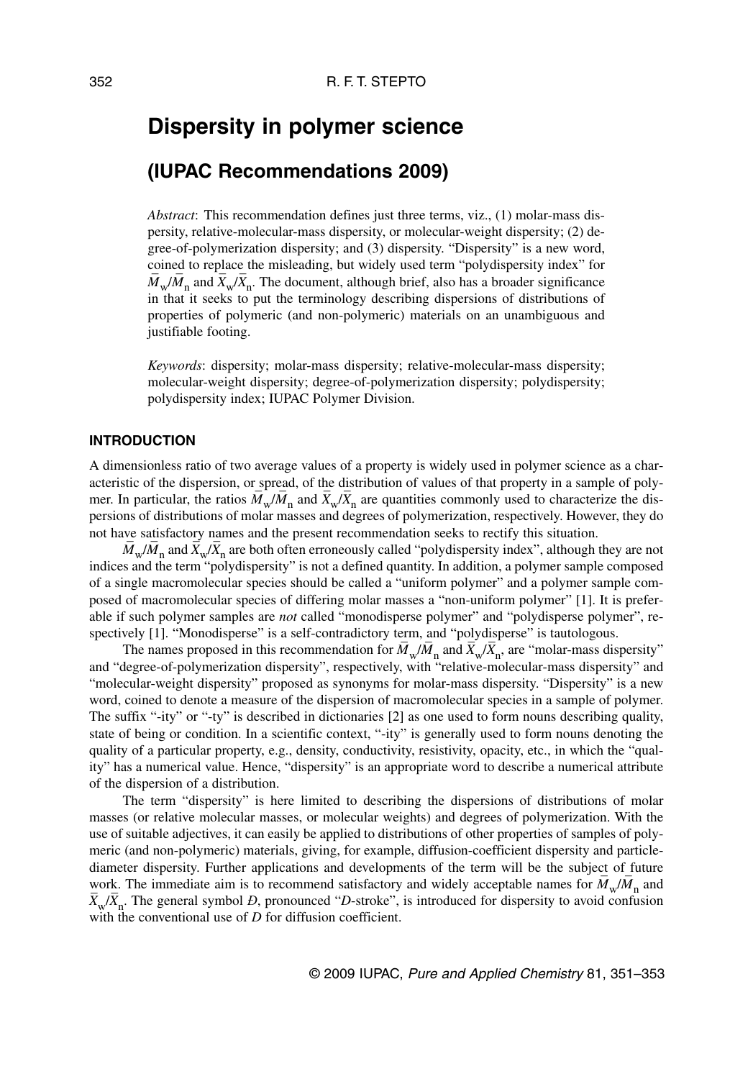# **Dispersity in polymer science**

### **(IUPAC Recommendations 2009)**

*Abstract*: This recommendation defines just three terms, viz., (1) molar-mass dispersity, relative-molecular-mass dispersity, or molecular-weight dispersity; (2) degree-of-polymerization dispersity; and (3) dispersity. "Dispersity" is a new word, coined to replace the misleading, but widely used term "polydispersity index" for  $\overline{M}_{\rm w}/\overline{M}_{\rm n}$  and  $\overline{X}_{\rm w}/\overline{X}_{\rm n}$ . The document, although brief, also has a broader significance in that it seeks to put the terminology describing dispersions of distributions of properties of polymeric (and non-polymeric) materials on an unambiguous and justifiable footing.

*Keywords*: dispersity; molar-mass dispersity; relative-molecular-mass dispersity; molecular-weight dispersity; degree-of-polymerization dispersity; polydispersity; polydispersity index; IUPAC Polymer Division.

#### **INTRODUCTION**

A dimensionless ratio of two average values of a property is widely used in polymer science as a characteristic of the dispersion, or spread, of the distribution of values of that property in a sample of polymer. In particular, the ratios  $\overline{M}_{\rm w}/\overline{M}_{\rm n}$  and  $\overline{X}_{\rm w}/\overline{X}_{\rm n}$  are quantities commonly used to characterize the dispersions of distributions of molar masses and degrees of polymerization, respectively. However, they do not have satisfactory names and the present recommendation seeks to rectify this situation.

 $\overline{M}_{\rm w}/\overline{M}_{\rm n}$  and  $\overline{X}_{\rm w}/\overline{X}_{\rm n}$  are both often erroneously called "polydispersity index", although they are not indices and the term "polydispersity" is not a defined quantity. In addition, a polymer sample composed of a single macromolecular species should be called a "uniform polymer" and a polymer sample composed of macromolecular species of differing molar masses a "non-uniform polymer" [1]. It is preferable if such polymer samples are *not* called "monodisperse polymer" and "polydisperse polymer", respectively [1]. "Monodisperse" is a self-contradictory term, and "polydisperse" is tautologous.

The names proposed in this recommendation for  $\overline{M}_w/\overline{M}_n$  and  $\overline{X}_w/\overline{X}_n$ , are "molar-mass dispersity" and "degree-of-polymerization dispersity", respectively, with "relative-molecular-mass dispersity" and "molecular-weight dispersity" proposed as synonyms for molar-mass dispersity. "Dispersity" is a new word, coined to denote a measure of the dispersion of macromolecular species in a sample of polymer. The suffix "-ity" or "-ty" is described in dictionaries [2] as one used to form nouns describing quality, state of being or condition. In a scientific context, "-ity" is generally used to form nouns denoting the quality of a particular property, e.g., density, conductivity, resistivity, opacity, etc., in which the "quality" has a numerical value. Hence, "dispersity" is an appropriate word to describe a numerical attribute of the dispersion of a distribution.

The term "dispersity" is here limited to describing the dispersions of distributions of molar masses (or relative molecular masses, or molecular weights) and degrees of polymerization. With the use of suitable adjectives, it can easily be applied to distributions of other properties of samples of polymeric (and non-polymeric) materials, giving, for example, diffusion-coefficient dispersity and particlediameter dispersity. Further applications and developments of the term will be the subject of future work. The immediate aim is to recommend satisfactory and widely acceptable names for  $M_w/M_n$  and  $\overline{X}_{w}/\overline{X}_{n}$ . The general symbol *Đ*, pronounced "*D*-stroke", is introduced for dispersity to avoid confusion with the conventional use of *D* for diffusion coefficient.